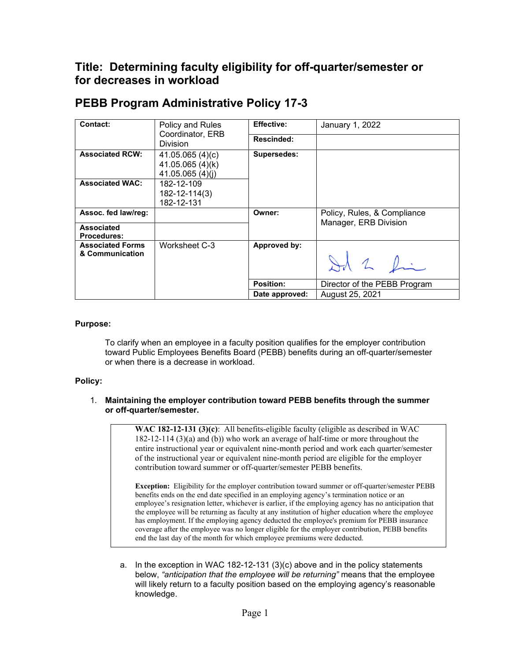# **Title: Determining faculty eligibility for off-quarter/semester or for decreases in workload**

| Contact:                                   | Policy and Rules<br>Coordinator, ERB<br><b>Division</b> | <b>Effective:</b> | January 1, 2022              |
|--------------------------------------------|---------------------------------------------------------|-------------------|------------------------------|
|                                            |                                                         | Rescinded:        |                              |
| <b>Associated RCW:</b>                     | 41.05.065(4)(c)<br>41.05.065 (4)(k)<br>41.05.065(4)(i)  | Supersedes:       |                              |
| <b>Associated WAC:</b>                     | 182-12-109<br>182-12-114(3)<br>182-12-131               |                   |                              |
| Assoc. fed law/req:                        |                                                         | Owner:            | Policy, Rules, & Compliance  |
| <b>Associated</b><br><b>Procedures:</b>    |                                                         |                   | Manager, ERB Division        |
| <b>Associated Forms</b><br>& Communication | Worksheet C-3                                           | Approved by:      | Id 2 fin                     |
|                                            |                                                         | Position:         | Director of the PEBB Program |
|                                            |                                                         | Date approved:    | August 25, 2021              |

## **PEBB Program Administrative Policy 17-3**

### **Purpose:**

To clarify when an employee in a faculty position qualifies for the employer contribution toward Public Employees Benefits Board (PEBB) benefits during an off-quarter/semester or when there is a decrease in workload.

### **Policy:**

#### 1. **Maintaining the employer contribution toward PEBB benefits through the summer or off-quarter/semester.**

**WAC 182-12-131 (3)(c)**: All benefits-eligible faculty (eligible as described in WAC 182-12-114 (3)(a) and (b)) who work an average of half-time or more throughout the entire instructional year or equivalent nine-month period and work each quarter/semester of the instructional year or equivalent nine-month period are eligible for the employer contribution toward summer or off-quarter/semester PEBB benefits.

**Exception:** Eligibility for the employer contribution toward summer or off-quarter/semester PEBB benefits ends on the end date specified in an employing agency's termination notice or an employee's resignation letter, whichever is earlier, if the employing agency has no anticipation that the employee will be returning as faculty at any institution of higher education where the employee has employment. If the employing agency deducted the employee's premium for PEBB insurance coverage after the employee was no longer eligible for the employer contribution, PEBB benefits end the last day of the month for which employee premiums were deducted.

a. In the exception in WAC 182-12-131 (3)(c) above and in the policy statements below, *"anticipation that the employee will be returning"* means that the employee will likely return to a faculty position based on the employing agency's reasonable knowledge.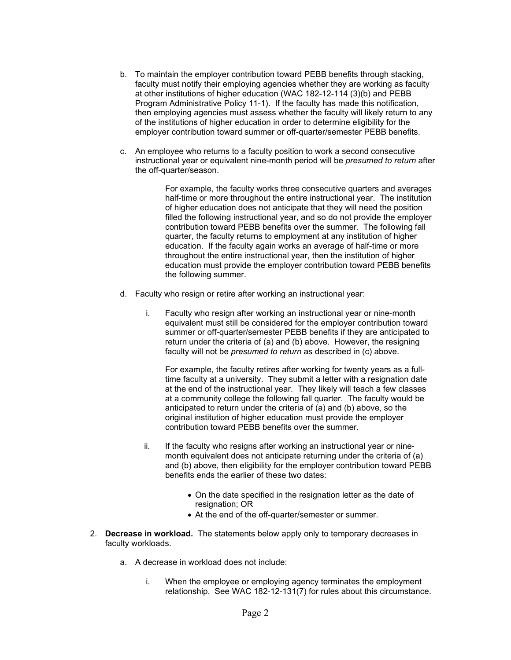- b. To maintain the employer contribution toward PEBB benefits through stacking, faculty must notify their employing agencies whether they are working as faculty at other institutions of higher education (WAC 182-12-114 (3)(b) and PEBB Program Administrative Policy 11-1). If the faculty has made this notification, then employing agencies must assess whether the faculty will likely return to any of the institutions of higher education in order to determine eligibility for the employer contribution toward summer or off-quarter/semester PEBB benefits.
- c. An employee who returns to a faculty position to work a second consecutive instructional year or equivalent nine-month period will be *presumed to return* after the off-quarter/season.

For example, the faculty works three consecutive quarters and averages half-time or more throughout the entire instructional year. The institution of higher education does not anticipate that they will need the position filled the following instructional year, and so do not provide the employer contribution toward PEBB benefits over the summer. The following fall quarter, the faculty returns to employment at any institution of higher education. If the faculty again works an average of half-time or more throughout the entire instructional year, then the institution of higher education must provide the employer contribution toward PEBB benefits the following summer.

- d. Faculty who resign or retire after working an instructional year:
	- i. Faculty who resign after working an instructional year or nine-month equivalent must still be considered for the employer contribution toward summer or off-quarter/semester PEBB benefits if they are anticipated to return under the criteria of (a) and (b) above. However, the resigning faculty will not be *presumed to return* as described in (c) above.

For example, the faculty retires after working for twenty years as a fulltime faculty at a university. They submit a letter with a resignation date at the end of the instructional year. They likely will teach a few classes at a community college the following fall quarter. The faculty would be anticipated to return under the criteria of (a) and (b) above, so the original institution of higher education must provide the employer contribution toward PEBB benefits over the summer.

- ii. If the faculty who resigns after working an instructional year or ninemonth equivalent does not anticipate returning under the criteria of (a) and (b) above, then eligibility for the employer contribution toward PEBB benefits ends the earlier of these two dates:
	- On the date specified in the resignation letter as the date of resignation; OR
	- At the end of the off-quarter/semester or summer.
- 2. **Decrease in workload.** The statements below apply only to temporary decreases in faculty workloads.
	- a. A decrease in workload does not include:
		- i. When the employee or employing agency terminates the employment relationship. See WAC 182-12-131(7) for rules about this circumstance.